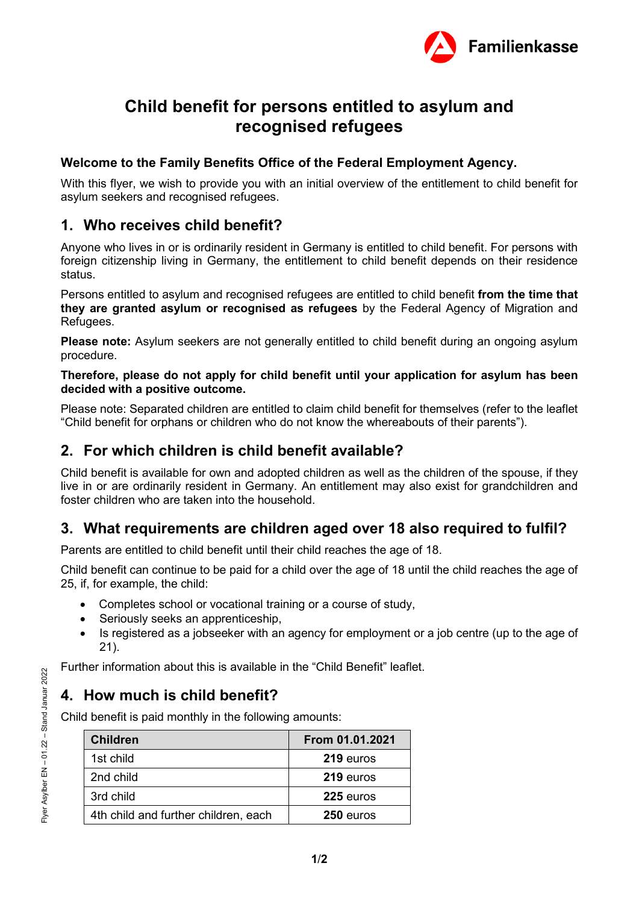

# **Child benefit for persons entitled to asylum and recognised refugees**

#### **Welcome to the Family Benefits Office of the Federal Employment Agency.**

With this flyer, we wish to provide you with an initial overview of the entitlement to child benefit for asylum seekers and recognised refugees.

#### **1. Who receives child benefit?**

Anyone who lives in or is ordinarily resident in Germany is entitled to child benefit. For persons with foreign citizenship living in Germany, the entitlement to child benefit depends on their residence status.

Persons entitled to asylum and recognised refugees are entitled to child benefit **from the time that they are granted asylum or recognised as refugees** by the Federal Agency of Migration and Refugees.

**Please note:** Asylum seekers are not generally entitled to child benefit during an ongoing asylum procedure.

#### **Therefore, please do not apply for child benefit until your application for asylum has been decided with a positive outcome.**

Please note: Separated children are entitled to claim child benefit for themselves (refer to the leaflet "Child benefit for orphans or children who do not know the whereabouts of their parents").

#### **2. For which children is child benefit available?**

Child benefit is available for own and adopted children as well as the children of the spouse, if they live in or are ordinarily resident in Germany. An entitlement may also exist for grandchildren and foster children who are taken into the household.

## **3. What requirements are children aged over 18 also required to fulfil?**

Parents are entitled to child benefit until their child reaches the age of 18.

Child benefit can continue to be paid for a child over the age of 18 until the child reaches the age of 25, if, for example, the child:

- Completes school or vocational training or a course of study,
- Seriously seeks an apprenticeship,
- Is registered as a jobseeker with an agency for employment or a job centre (up to the age of 21).

Further information about this is available in the "Child Benefit" leaflet.

## **4. How much is child benefit?**

Child benefit is paid monthly in the following amounts:

| <b>Children</b>                      | From 01.01.2021 |
|--------------------------------------|-----------------|
| 1st child                            | 219 euros       |
| 2nd child                            | 219 euros       |
| 3rd child                            | 225 euros       |
| 4th child and further children, each | 250 euros       |